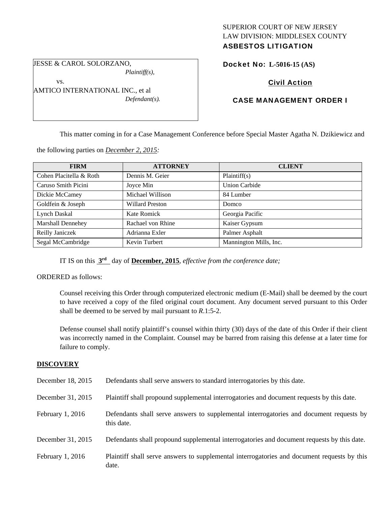## SUPERIOR COURT OF NEW JERSEY LAW DIVISION: MIDDLESEX COUNTY ASBESTOS LITIGATION

JESSE & CAROL SOLORZANO, *Plaintiff(s),* 

vs.

AMTICO INTERNATIONAL INC., et al *Defendant(s).* 

# Docket No: **L-5016-15 (AS)**

## Civil Action

# CASE MANAGEMENT ORDER I

This matter coming in for a Case Management Conference before Special Master Agatha N. Dzikiewicz and

the following parties on *December 2, 2015:* 

| <b>FIRM</b>              | <b>ATTORNEY</b>        | <b>CLIENT</b>          |
|--------------------------|------------------------|------------------------|
| Cohen Placitella & Roth  | Dennis M. Geier        | Plaintiff(s)           |
| Caruso Smith Picini      | Joyce Min              | <b>Union Carbide</b>   |
| Dickie McCamey           | Michael Willison       | 84 Lumber              |
| Goldfein & Joseph        | <b>Willard Preston</b> | Domco                  |
| <b>Lynch Daskal</b>      | Kate Romick            | Georgia Pacific        |
| <b>Marshall Dennehey</b> | Rachael von Rhine      | Kaiser Gypsum          |
| Reilly Janiczek          | Adrianna Exler         | Palmer Asphalt         |
| Segal McCambridge        | Kevin Turbert          | Mannington Mills, Inc. |

IT IS on this **3rd** day of **December, 2015**, *effective from the conference date;*

ORDERED as follows:

Counsel receiving this Order through computerized electronic medium (E-Mail) shall be deemed by the court to have received a copy of the filed original court document. Any document served pursuant to this Order shall be deemed to be served by mail pursuant to *R*.1:5-2.

Defense counsel shall notify plaintiff's counsel within thirty (30) days of the date of this Order if their client was incorrectly named in the Complaint. Counsel may be barred from raising this defense at a later time for failure to comply.

### **DISCOVERY**

| December 18, 2015  | Defendants shall serve answers to standard interrogatories by this date.                              |
|--------------------|-------------------------------------------------------------------------------------------------------|
| December 31, 2015  | Plaintiff shall propound supplemental interrogatories and document requests by this date.             |
| February $1, 2016$ | Defendants shall serve answers to supplemental interrogatories and document requests by<br>this date. |
| December 31, 2015  | Defendants shall propound supplemental interrogatories and document requests by this date.            |
| February $1, 2016$ | Plaintiff shall serve answers to supplemental interrogatories and document requests by this<br>date.  |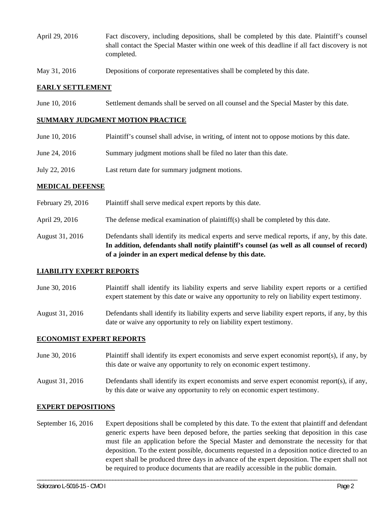- April 29, 2016 Fact discovery, including depositions, shall be completed by this date. Plaintiff's counsel shall contact the Special Master within one week of this deadline if all fact discovery is not completed.
- May 31, 2016 Depositions of corporate representatives shall be completed by this date.

## **EARLY SETTLEMENT**

June 10, 2016 Settlement demands shall be served on all counsel and the Special Master by this date.

### **SUMMARY JUDGMENT MOTION PRACTICE**

| June 10, 2016 | Plaintiff's counsel shall advise, in writing, of intent not to oppose motions by this date. |
|---------------|---------------------------------------------------------------------------------------------|
| June 24, 2016 | Summary judgment motions shall be filed no later than this date.                            |
| July 22, 2016 | Last return date for summary judgment motions.                                              |

### **MEDICAL DEFENSE**

- February 29, 2016 Plaintiff shall serve medical expert reports by this date.
- April 29, 2016 The defense medical examination of plaintiff(s) shall be completed by this date.
- August 31, 2016 Defendants shall identify its medical experts and serve medical reports, if any, by this date. **In addition, defendants shall notify plaintiff's counsel (as well as all counsel of record) of a joinder in an expert medical defense by this date.**

### **LIABILITY EXPERT REPORTS**

- June 30, 2016 Plaintiff shall identify its liability experts and serve liability expert reports or a certified expert statement by this date or waive any opportunity to rely on liability expert testimony.
- August 31, 2016 Defendants shall identify its liability experts and serve liability expert reports, if any, by this date or waive any opportunity to rely on liability expert testimony.

### **ECONOMIST EXPERT REPORTS**

- June 30, 2016 Plaintiff shall identify its expert economists and serve expert economist report(s), if any, by this date or waive any opportunity to rely on economic expert testimony.
- August 31, 2016 Defendants shall identify its expert economists and serve expert economist report(s), if any, by this date or waive any opportunity to rely on economic expert testimony.

## **EXPERT DEPOSITIONS**

September 16, 2016 Expert depositions shall be completed by this date. To the extent that plaintiff and defendant generic experts have been deposed before, the parties seeking that deposition in this case must file an application before the Special Master and demonstrate the necessity for that deposition. To the extent possible, documents requested in a deposition notice directed to an expert shall be produced three days in advance of the expert deposition. The expert shall not be required to produce documents that are readily accessible in the public domain.

\_\_\_\_\_\_\_\_\_\_\_\_\_\_\_\_\_\_\_\_\_\_\_\_\_\_\_\_\_\_\_\_\_\_\_\_\_\_\_\_\_\_\_\_\_\_\_\_\_\_\_\_\_\_\_\_\_\_\_\_\_\_\_\_\_\_\_\_\_\_\_\_\_\_\_\_\_\_\_\_\_\_\_\_\_\_\_\_\_\_\_\_\_\_\_\_\_\_\_\_\_\_\_\_\_\_\_\_\_\_